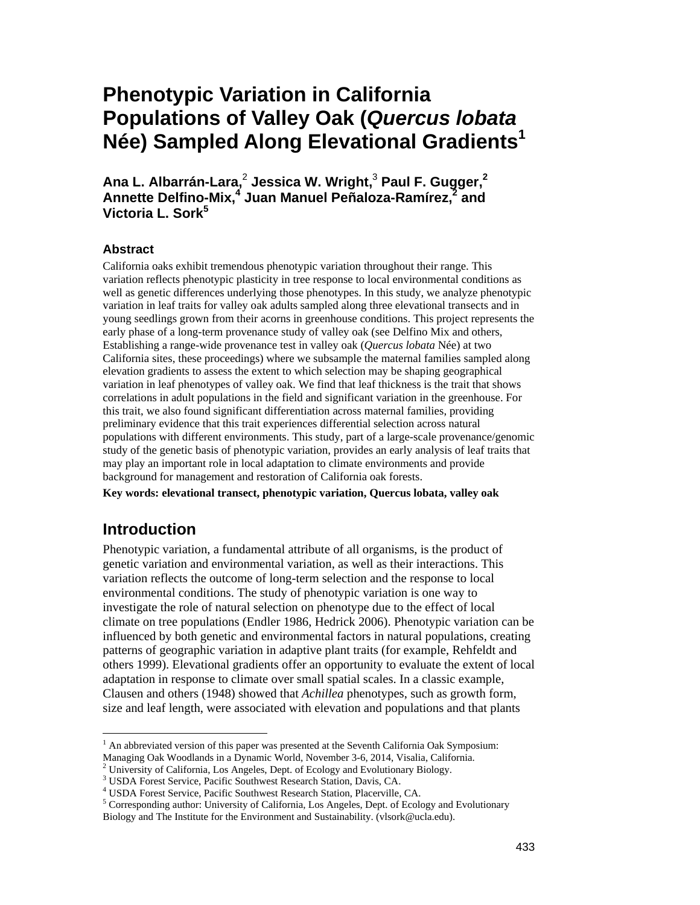# **Phenotypic Variation in California Populations of Valley Oak (***Quercus lobata*  **Née) Sampled Along Elevational Gradients1**

**Ana L. Albarrán-Lara,**<sup>2</sup>  **Jessica W. Wright,**<sup>3</sup>  **Paul F. Gugger,2**  Annette Delfino-Mix,<sup>4</sup> Juan Manuel Peñaloza-Ramírez,<sup>2</sup> and **Victoria L. Sork<sup>5</sup>**

#### **Abstract**

 study of the genetic basis of phenotypic variation, provides an early analysis of leaf traits that California oaks exhibit tremendous phenotypic variation throughout their range. This variation reflects phenotypic plasticity in tree response to local environmental conditions as well as genetic differences underlying those phenotypes. In this study, we analyze phenotypic variation in leaf traits for valley oak adults sampled along three elevational transects and in young seedlings grown from their acorns in greenhouse conditions. This project represents the early phase of a long-term provenance study of valley oak (see Delfino Mix and others, Establishing a range-wide provenance test in valley oak (*Quercus lobata* Née) at two California sites, these proceedings) where we subsample the maternal families sampled along elevation gradients to assess the extent to which selection may be shaping geographical variation in leaf phenotypes of valley oak. We find that leaf thickness is the trait that shows correlations in adult populations in the field and significant variation in the greenhouse. For this trait, we also found significant differentiation across maternal families, providing preliminary evidence that this trait experiences differential selection across natural populations with different environments. This study, part of a large-scale provenance/genomic may play an important role in local adaptation to climate environments and provide background for management and restoration of California oak forests.

**Key words: elevational transect, phenotypic variation, Quercus lobata, valley oak** 

### **Introduction**

 $\overline{a}$ 

Phenotypic variation, a fundamental attribute of all organisms, is the product of genetic variation and environmental variation, as well as their interactions. This variation reflects the outcome of long-term selection and the response to local environmental conditions. The study of phenotypic variation is one way to investigate the role of natural selection on phenotype due to the effect of local climate on tree populations (Endler 1986, Hedrick 2006). Phenotypic variation can be influenced by both genetic and environmental factors in natural populations, creating patterns of geographic variation in adaptive plant traits (for example, Rehfeldt and others 1999). Elevational gradients offer an opportunity to evaluate the extent of local adaptation in response to climate over small spatial scales. In a classic example, Clausen and others (1948) showed that *Achillea* phenotypes, such as growth form, size and leaf length, were associated with elevation and populations and that plants

 $<sup>1</sup>$  An abbreviated version of this paper was presented at the Seventh California Oak Symposium:</sup>

Managing Oak Woodlands in a Dynamic World, November 3-6, 2014, Visalia, California. 2

 $2$  University of California, Los Angeles, Dept. of Ecology and Evolutionary Biology.

USDA Forest Service, Pacific Southwest Research Station, Davis, CA.

<sup>&</sup>lt;sup>4</sup> USDA Forest Service, Pacific Southwest Research Station, Placerville, CA.

<sup>&</sup>lt;sup>5</sup> Corresponding author: University of California, Los Angeles, Dept. of Ecology and Evolutionary

Biology and The Institute for the Environment and Sustainability. (vlsork@ucla.edu).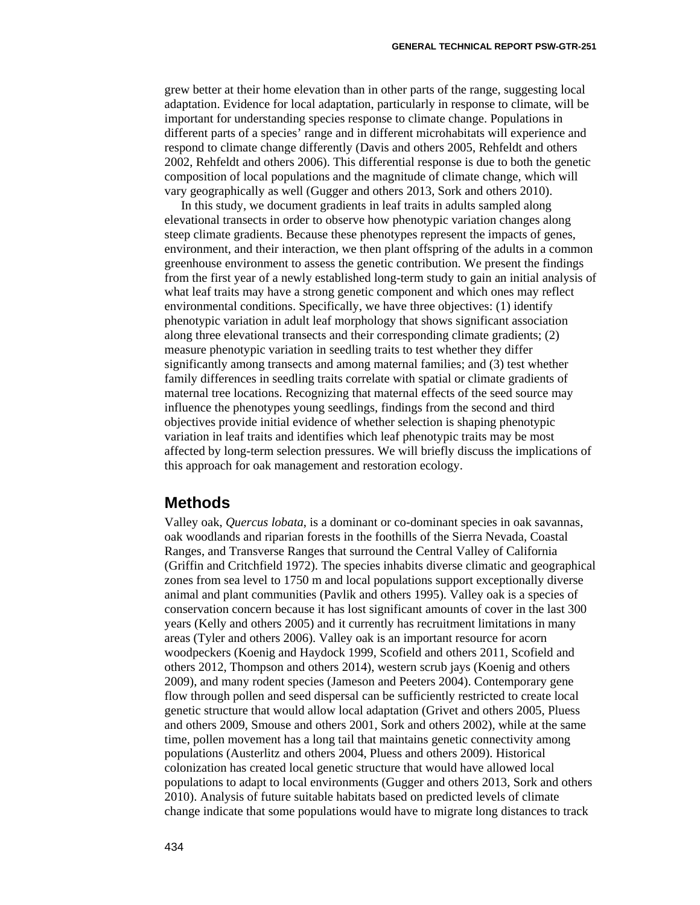grew better at their home elevation than in other parts of the range, suggesting local adaptation. Evidence for local adaptation, particularly in response to climate, will be important for understanding species response to climate change. Populations in different parts of a species' range and in different microhabitats will experience and respond to climate change differently (Davis and others 2005, Rehfeldt and others 2002, Rehfeldt and others 2006). This differential response is due to both the genetic composition of local populations and the magnitude of climate change, which will vary geographically as well (Gugger and others 2013, Sork and others 2010).

In this study, we document gradients in leaf traits in adults sampled along elevational transects in order to observe how phenotypic variation changes along steep climate gradients. Because these phenotypes represent the impacts of genes, environment, and their interaction, we then plant offspring of the adults in a common greenhouse environment to assess the genetic contribution. We present the findings from the first year of a newly established long-term study to gain an initial analysis of what leaf traits may have a strong genetic component and which ones may reflect environmental conditions. Specifically, we have three objectives: (1) identify phenotypic variation in adult leaf morphology that shows significant association along three elevational transects and their corresponding climate gradients; (2) measure phenotypic variation in seedling traits to test whether they differ significantly among transects and among maternal families; and (3) test whether family differences in seedling traits correlate with spatial or climate gradients of maternal tree locations. Recognizing that maternal effects of the seed source may influence the phenotypes young seedlings, findings from the second and third objectives provide initial evidence of whether selection is shaping phenotypic variation in leaf traits and identifies which leaf phenotypic traits may be most affected by long-term selection pressures. We will briefly discuss the implications of this approach for oak management and restoration ecology.

#### **Methods**

Valley oak, *Quercus lobata*, is a dominant or co-dominant species in oak savannas, oak woodlands and riparian forests in the foothills of the Sierra Nevada, Coastal Ranges, and Transverse Ranges that surround the Central Valley of California (Griffin and Critchfield 1972). The species inhabits diverse climatic and geographical zones from sea level to 1750 m and local populations support exceptionally diverse animal and plant communities (Pavlik and others 1995). Valley oak is a species of conservation concern because it has lost significant amounts of cover in the last 300 years (Kelly and others 2005) and it currently has recruitment limitations in many areas (Tyler and others 2006). Valley oak is an important resource for acorn woodpeckers (Koenig and Haydock 1999, Scofield and others 2011, Scofield and others 2012, Thompson and others 2014), western scrub jays (Koenig and others 2009), and many rodent species (Jameson and Peeters 2004). Contemporary gene flow through pollen and seed dispersal can be sufficiently restricted to create local genetic structure that would allow local adaptation (Grivet and others 2005, Pluess and others 2009, Smouse and others 2001, Sork and others 2002), while at the same time, pollen movement has a long tail that maintains genetic connectivity among populations (Austerlitz and others 2004, Pluess and others 2009). Historical colonization has created local genetic structure that would have allowed local populations to adapt to local environments (Gugger and others 2013, Sork and others 2010). Analysis of future suitable habitats based on predicted levels of climate change indicate that some populations would have to migrate long distances to track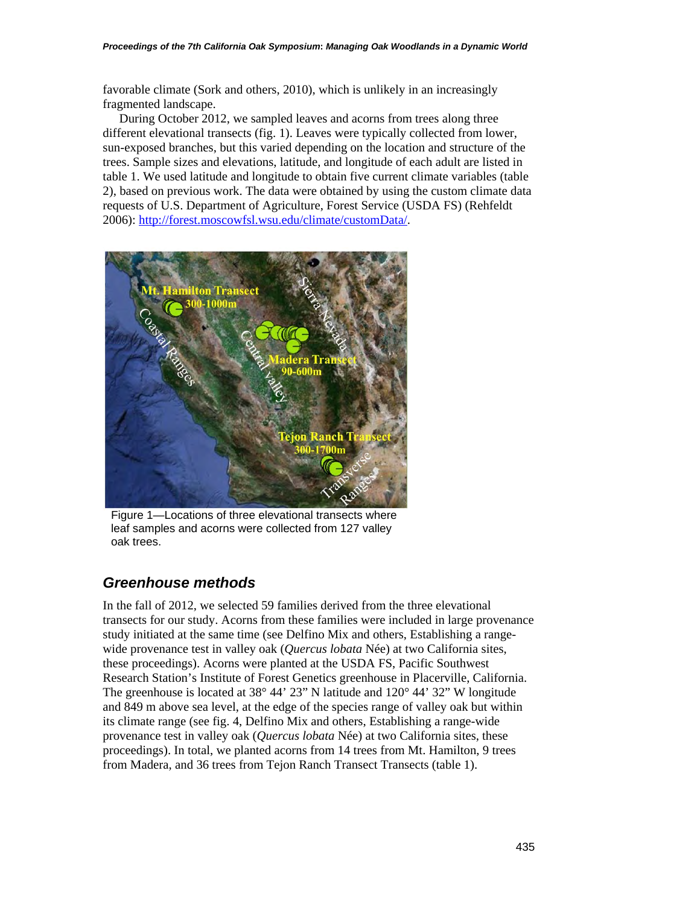favorable climate (Sork and others, 2010), which is unlikely in an increasingly fragmented landscape.

During October 2012, we sampled leaves and acorns from trees along three different elevational transects (fig. 1). Leaves were typically collected from lower, sun-exposed branches, but this varied depending on the location and structure of the trees. Sample sizes and elevations, latitude, and longitude of each adult are listed in table 1. We used latitude and longitude to obtain five current climate variables (table 2), based on previous work. The data were obtained by using the custom climate data requests of U.S. Department of Agriculture, Forest Service (USDA FS) (Rehfeldt 2006): http://forest.moscowfsl.wsu.edu/climate/customData/.



Figure 1—Locations of three elevational transects where leaf samples and acorns were collected from 127 valley oak trees.

### *Greenhouse methods*

In the fall of 2012, we selected 59 families derived from the three elevational transects for our study. Acorns from these families were included in large provenance study initiated at the same time (see Delfino Mix and others, Establishing a rangewide provenance test in valley oak (*Quercus lobata* Née) at two California sites, these proceedings). Acorns were planted at the USDA FS, Pacific Southwest Research Station's Institute of Forest Genetics greenhouse in Placerville, California. The greenhouse is located at 38° 44' 23" N latitude and 120° 44' 32" W longitude and 849 m above sea level, at the edge of the species range of valley oak but within its climate range (see fig. 4, Delfino Mix and others, Establishing a range-wide provenance test in valley oak (*Quercus lobata* Née) at two California sites, these proceedings). In total, we planted acorns from 14 trees from Mt. Hamilton, 9 trees from Madera, and 36 trees from Tejon Ranch Transect Transects (table 1).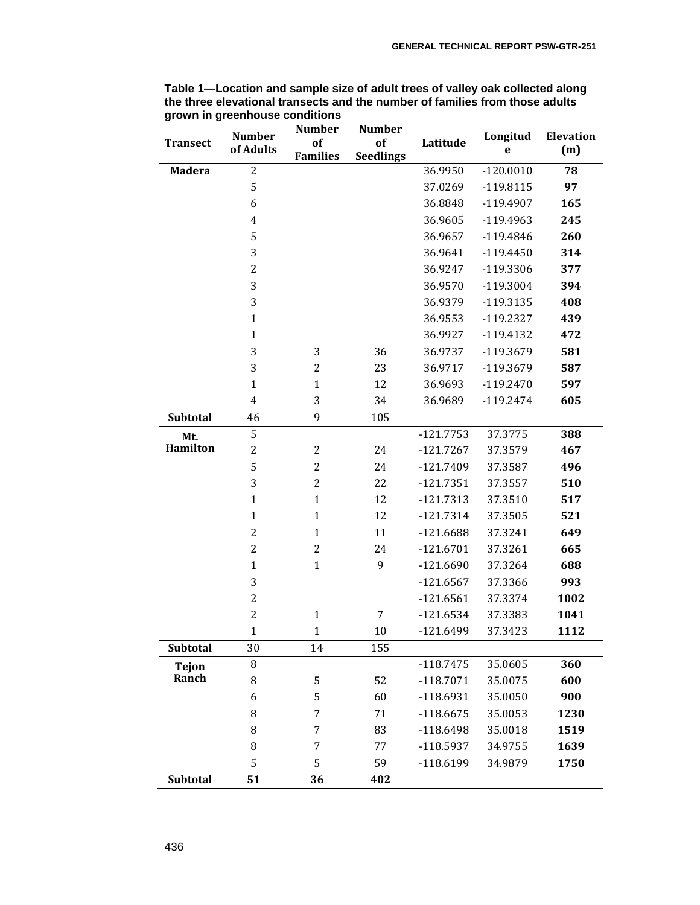|                 | <b>Number</b>    | <b>Number</b>   | <b>Number</b>    |             | Longitud    | <b>Elevation</b><br>(m) |
|-----------------|------------------|-----------------|------------------|-------------|-------------|-------------------------|
| <b>Transect</b> | of Adults        | of              | of               | Latitude    | e           |                         |
|                 |                  | <b>Families</b> | <b>Seedlings</b> |             |             |                         |
| <b>Madera</b>   | $\overline{c}$   |                 |                  | 36.9950     | $-120.0010$ | 78                      |
|                 | 5                |                 |                  | 37.0269     | $-119.8115$ | 97                      |
|                 | 6                |                 |                  | 36.8848     | $-119.4907$ | 165                     |
|                 | $\overline{4}$   |                 |                  | 36.9605     | $-119.4963$ | 245                     |
|                 | 5                |                 |                  | 36.9657     | $-119.4846$ | 260                     |
|                 | 3                |                 |                  | 36.9641     | $-119.4450$ | 314                     |
|                 | $\overline{c}$   |                 |                  | 36.9247     | $-119.3306$ | 377                     |
|                 | 3                |                 |                  | 36.9570     | $-119.3004$ | 394                     |
|                 | 3                |                 |                  | 36.9379     | $-119.3135$ | 408                     |
|                 | $\mathbf{1}$     |                 |                  | 36.9553     | $-119.2327$ | 439                     |
|                 | $\mathbf{1}$     |                 |                  | 36.9927     | $-119.4132$ | 472                     |
|                 | 3                | 3               | 36               | 36.9737     | -119.3679   | 581                     |
|                 | 3                | $\overline{2}$  | 23               | 36.9717     | -119.3679   | 587                     |
|                 | $\mathbf{1}$     | $\mathbf{1}$    | 12               | 36.9693     | $-119.2470$ | 597                     |
|                 | $\overline{4}$   | 3               | 34               | 36.9689     | $-119.2474$ | 605                     |
| Subtotal        | 46               | 9               | 105              |             |             |                         |
| Mt.             | 5                |                 |                  | $-121.7753$ | 37.3775     | 388                     |
| Hamilton        | $\overline{c}$   | $\overline{2}$  | 24               | $-121.7267$ | 37.3579     | 467                     |
|                 | 5                | $\overline{c}$  | 24               | $-121.7409$ | 37.3587     | 496                     |
|                 | 3                | $\overline{c}$  | 22               | $-121.7351$ | 37.3557     | 510                     |
|                 | $\mathbf{1}$     | $\mathbf{1}$    | 12               | $-121.7313$ | 37.3510     | 517                     |
|                 | $\mathbf{1}$     | $\mathbf{1}$    | 12               | $-121.7314$ | 37.3505     | 521                     |
|                 | $\overline{2}$   | $\mathbf{1}$    | 11               | $-121.6688$ | 37.3241     | 649                     |
|                 | $\overline{c}$   | $\overline{c}$  | 24               | $-121.6701$ | 37.3261     | 665                     |
|                 | $\mathbf{1}$     | $\mathbf{1}$    | 9                | $-121.6690$ | 37.3264     | 688                     |
|                 | 3                |                 |                  | $-121.6567$ | 37.3366     | 993                     |
|                 | $\boldsymbol{2}$ |                 |                  | $-121.6561$ | 37.3374     | 1002                    |
|                 | $\overline{c}$   | $\mathbf{1}$    | 7                | $-121.6534$ | 37.3383     | 1041                    |
|                 | 1                | $\mathbf{1}$    | 10               | $-121.6499$ | 37.3423     | 1112                    |
| Subtotal        | 30               | 14              | 155              |             |             |                         |
| <b>Tejon</b>    | 8                |                 |                  | $-118.7475$ | 35.0605     | 360                     |
| Ranch           | 8                | 5               | 52               | $-118.7071$ | 35.0075     | 600                     |
|                 | 6                | 5               | 60               | $-118.6931$ | 35.0050     | 900                     |
|                 | 8                | 7               | 71               | $-118.6675$ | 35.0053     | 1230                    |
|                 | 8                | 7               | 83               | $-118.6498$ | 35.0018     | 1519                    |
|                 | 8                | 7               | 77               | $-118.5937$ | 34.9755     | 1639                    |
|                 | 5                | 5               | 59               | $-118.6199$ | 34.9879     | 1750                    |
| Subtotal        | 51               | 36              | 402              |             |             |                         |

**Table 1—Location and sample size of adult trees of valley oak collected along the three elevational transects and the number of families from those adults grown in greenhouse conditions**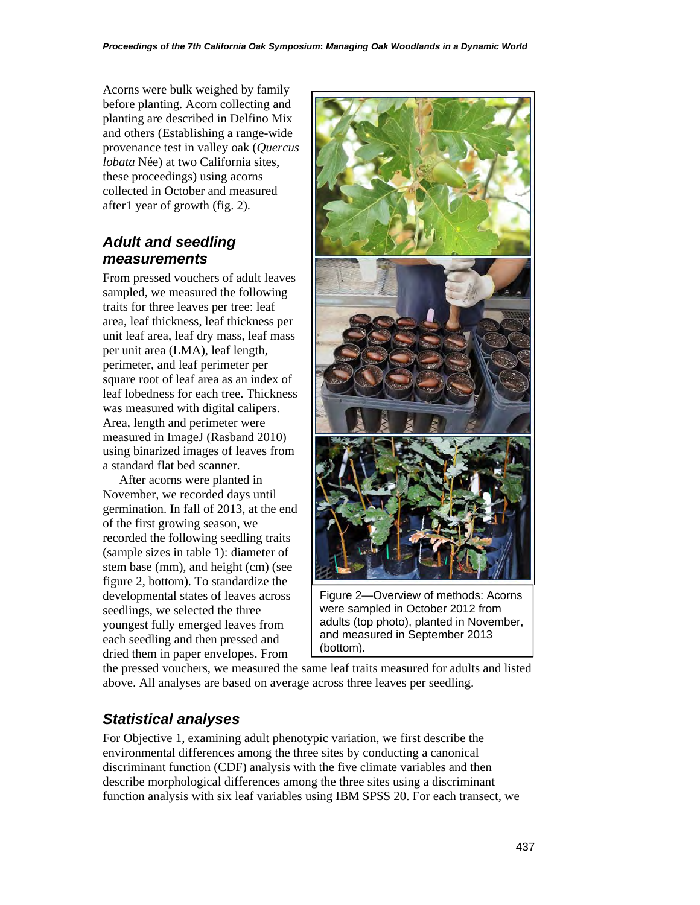Acorns were bulk weighed by family before planting. Acorn collecting and planting are described in Delfino Mix and others (Establishing a range-wide provenance test in valley oak (*Quercus lobata* Née) at two California sites, these proceedings) using acorns collected in October and measured after1 year of growth (fig. 2).

## *Adult and seedling measurements*

From pressed vouchers of adult leaves sampled, we measured the following traits for three leaves per tree: leaf area, leaf thickness, leaf thickness per unit leaf area, leaf dry mass, leaf mass per unit area (LMA), leaf length, perimeter, and leaf perimeter per square root of leaf area as an index of leaf lobedness for each tree. Thickness was measured with digital calipers. Area, length and perimeter were measured in ImageJ (Rasband 2010) using binarized images of leaves from a standard flat bed scanner.

After acorns were planted in November, we recorded days until germination. In fall of 2013, at the end of the first growing season, we recorded the following seedling traits (sample sizes in table 1): diameter of stem base (mm), and height (cm) (see figure 2, bottom). To standardize the developmental states of leaves across seedlings, we selected the three youngest fully emerged leaves from each seedling and then pressed and dried them in paper envelopes. From



were sampled in October 2012 from adults (top photo), planted in November, and measured in September 2013 (bottom).

the pressed vouchers, we measured the same leaf traits measured for adults and listed above. All analyses are based on average across three leaves per seedling.

## *Statistical analyses*

For Objective 1, examining adult phenotypic variation, we first describe the environmental differences among the three sites by conducting a canonical discriminant function (CDF) analysis with the five climate variables and then describe morphological differences among the three sites using a discriminant function analysis with six leaf variables using IBM SPSS 20. For each transect, we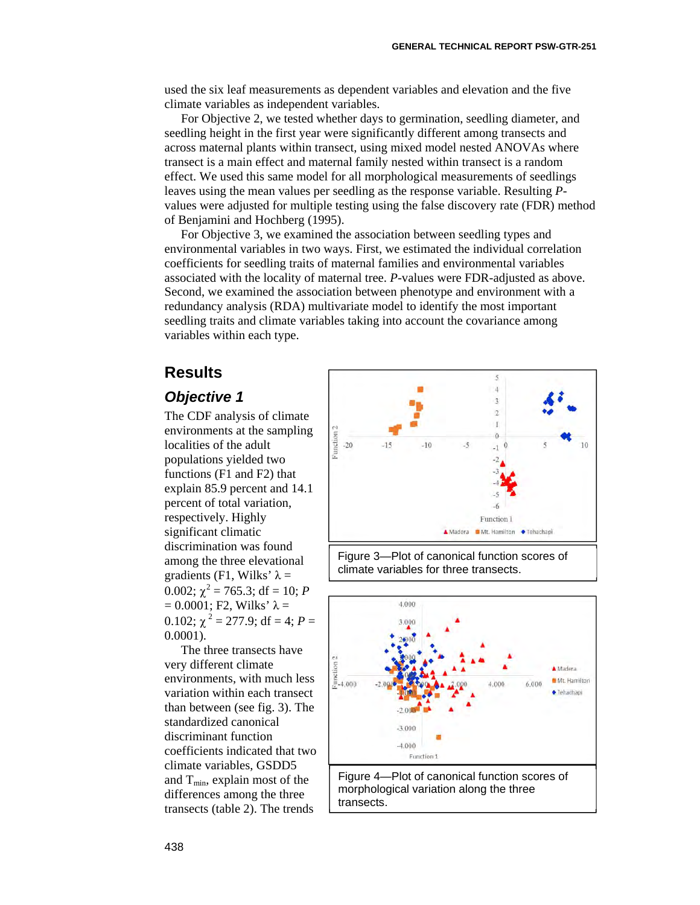used the six leaf measurements as dependent variables and elevation and the five climate variables as independent variables.

For Objective 2, we tested whether days to germination, seedling diameter, and seedling height in the first year were significantly different among transects and across maternal plants within transect, using mixed model nested ANOVAs where transect is a main effect and maternal family nested within transect is a random effect. We used this same model for all morphological measurements of seedlings leaves using the mean values per seedling as the response variable. Resulting *P*values were adjusted for multiple testing using the false discovery rate (FDR) method of Benjamini and Hochberg (1995).

For Objective 3, we examined the association between seedling types and environmental variables in two ways. First, we estimated the individual correlation coefficients for seedling traits of maternal families and environmental variables associated with the locality of maternal tree. *P*-values were FDR-adjusted as above. Second, we examined the association between phenotype and environment with a redundancy analysis (RDA) multivariate model to identify the most important seedling traits and climate variables taking into account the covariance among variables within each type.

#### **Results**

#### *Objective 1*

The CDF analysis of climate environments at the sampling localities of the adult populations yielded two functions (F1 and F2) that explain 85.9 percent and 14.1 percent of total variation, respectively. Highly significant climatic discrimination was found among the three elevational gradients (F1, Wilks'  $\lambda$  = 0.002;  $\chi^2$  = 765.3; df = 10; *P*  $= 0.0001$ ; F2, Wilks'  $\lambda =$ 0.102;  $\gamma^2 = 277.9$ ; df = 4; P = 0.0001).

The three transects have very different climate environments, with much less variation within each transect than between (see fig. 3). The standardized canonical discriminant function coefficients indicated that two climate variables, GSDD5 and  $T_{\text{min}}$ , explain most of the differences among the three transects (table 2). The trends



Figure 3—Plot of canonical function scores of climate variables for three transects.



morphological variation along the three transects.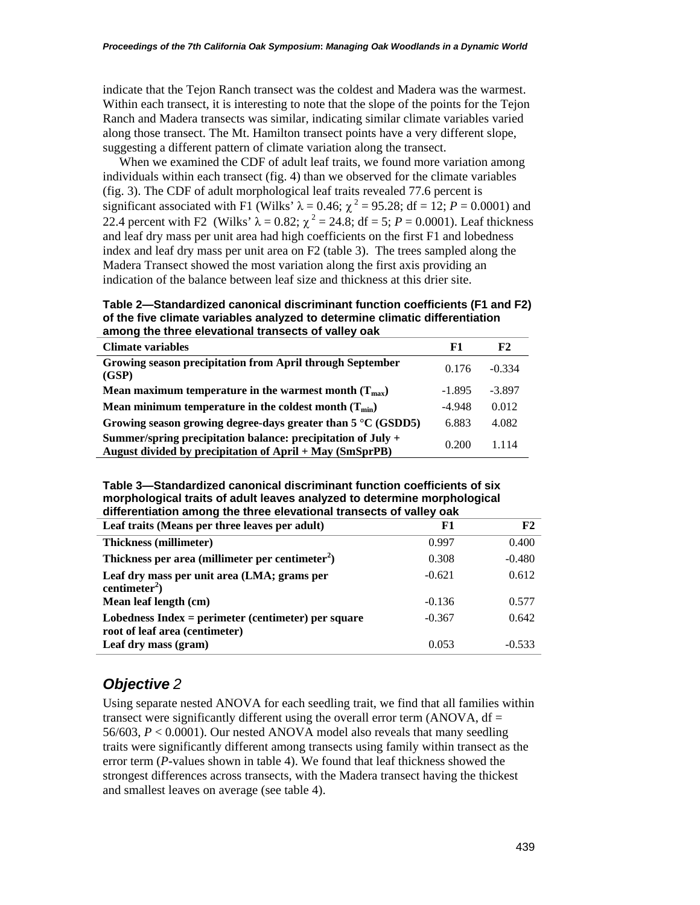indicate that the Tejon Ranch transect was the coldest and Madera was the warmest. Within each transect, it is interesting to note that the slope of the points for the Tejon Ranch and Madera transects was similar, indicating similar climate variables varied along those transect. The Mt. Hamilton transect points have a very different slope, suggesting a different pattern of climate variation along the transect.

When we examined the CDF of adult leaf traits, we found more variation among individuals within each transect (fig. 4) than we observed for the climate variables (fig. 3). The CDF of adult morphological leaf traits revealed 77.6 percent is significant associated with F1 (Wilks'  $\lambda = 0.46$ ;  $\chi^2 = 95.28$ ; df = 12; P = 0.0001) and 22.4 percent with F2 (Wilks'  $\lambda = 0.82$ ;  $\chi^2 = 24.8$ ; df = 5; *P* = 0.0001). Leaf thickness and leaf dry mass per unit area had high coefficients on the first F1 and lobedness index and leaf dry mass per unit area on F2 (table 3). The trees sampled along the Madera Transect showed the most variation along the first axis providing an indication of the balance between leaf size and thickness at this drier site.

**Table 2—Standardized canonical discriminant function coefficients (F1 and F2) of the five climate variables analyzed to determine climatic differentiation among the three elevational transects of valley oak** 

| <b>Climate variables</b>                                                                                                 | F1       | F2       |
|--------------------------------------------------------------------------------------------------------------------------|----------|----------|
| Growing season precipitation from April through September<br>(GSP)                                                       | 0.176    | $-0.334$ |
| Mean maximum temperature in the warmest month $(T_{max})$                                                                | $-1.895$ | $-3.897$ |
| Mean minimum temperature in the coldest month $(T_{min})$                                                                | $-4.948$ | 0.012    |
| Growing season growing degree-days greater than $5^{\circ}$ C (GSDD5)                                                    | 6.883    | 4.082    |
| Summer/spring precipitation balance: precipitation of July +<br>August divided by precipitation of April + May (SmSprPB) | 0.200    | 1.114    |
|                                                                                                                          |          |          |

 **differentiation among the three elevational transects of valley oak Table 3—Standardized canonical discriminant function coefficients of six morphological traits of adult leaves analyzed to determine morphological** 

| Leaf traits (Means per three leaves per adult)                                          | F1       | F2       |
|-----------------------------------------------------------------------------------------|----------|----------|
| <b>Thickness (millimeter)</b>                                                           | 0.997    | 0.400    |
| Thickness per area (millimeter per centimeter <sup>2</sup> )                            | 0.308    | $-0.480$ |
| Leaf dry mass per unit area (LMA; grams per<br>centimeter <sup>2</sup> )                | $-0.621$ | 0.612    |
| Mean leaf length (cm)                                                                   | $-0.136$ | 0.577    |
| Lobedness $Index = perimeter$ (centimeter) per square<br>root of leaf area (centimeter) | $-0.367$ | 0.642    |
| Leaf dry mass (gram)                                                                    | 0.053    | $-0.533$ |

### *Objective 2*

Using separate nested ANOVA for each seedling trait, we find that all families within transect were significantly different using the overall error term (ANOVA,  $df =$ 56/603, *P* < 0.0001). Our nested ANOVA model also reveals that many seedling traits were significantly different among transects using family within transect as the error term (*P*-values shown in table 4). We found that leaf thickness showed the strongest differences across transects, with the Madera transect having the thickest and smallest leaves on average (see table 4).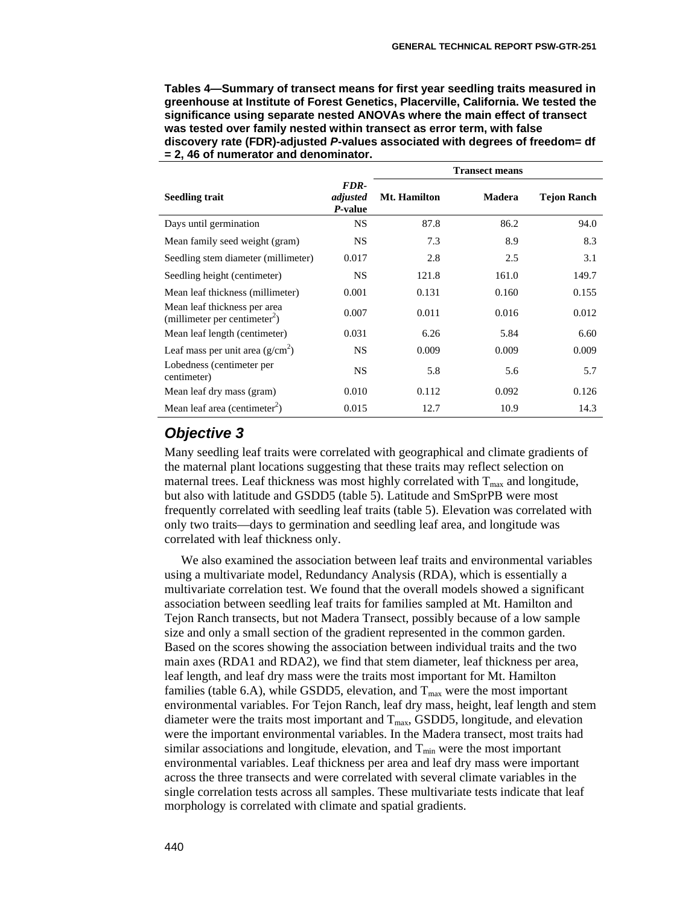**Transect means** 

**Tables 4—Summary of transect means for first year seedling traits measured in greenhouse at Institute of Forest Genetics, Placerville, California. We tested the significance using separate nested ANOVAs where the main effect of transect was tested over family nested within transect as error term, with false discovery rate (FDR)-adjusted** *P***-values associated with degrees of freedom= df = 2, 46 of numerator and denominator.** 

|                                                                           |                             | ттанѕест шеанѕ      |        |                    |  |  |
|---------------------------------------------------------------------------|-----------------------------|---------------------|--------|--------------------|--|--|
| <b>Seedling trait</b>                                                     | FDR-<br>adjusted<br>P-value | <b>Mt. Hamilton</b> | Madera | <b>Tejon Ranch</b> |  |  |
| Days until germination                                                    | <b>NS</b>                   | 87.8                | 86.2   | 94.0               |  |  |
| Mean family seed weight (gram)                                            | NS                          | 7.3                 | 8.9    | 8.3                |  |  |
| Seedling stem diameter (millimeter)                                       | 0.017                       | 2.8                 | 2.5    | 3.1                |  |  |
| Seedling height (centimeter)                                              | <b>NS</b>                   | 121.8               | 161.0  | 149.7              |  |  |
| Mean leaf thickness (millimeter)                                          | 0.001                       | 0.131               | 0.160  | 0.155              |  |  |
| Mean leaf thickness per area<br>(millimeter per centimeter <sup>2</sup> ) | 0.007                       | 0.011               | 0.016  | 0.012              |  |  |
| Mean leaf length (centimeter)                                             | 0.031                       | 6.26                | 5.84   | 6.60               |  |  |
| Leaf mass per unit area $(g/cm2)$                                         | <b>NS</b>                   | 0.009               | 0.009  | 0.009              |  |  |
| Lobedness (centimeter per<br>centimeter)                                  | <b>NS</b>                   | 5.8                 | 5.6    | 5.7                |  |  |
| Mean leaf dry mass (gram)                                                 | 0.010                       | 0.112               | 0.092  | 0.126              |  |  |
| Mean leaf area (centimeter <sup>2</sup> )                                 | 0.015                       | 12.7                | 10.9   | 14.3               |  |  |

#### *Objective 3*

Many seedling leaf traits were correlated with geographical and climate gradients of the maternal plant locations suggesting that these traits may reflect selection on maternal trees. Leaf thickness was most highly correlated with  $T_{\text{max}}$  and longitude, but also with latitude and GSDD5 (table 5). Latitude and SmSprPB were most frequently correlated with seedling leaf traits (table 5). Elevation was correlated with only two traits—days to germination and seedling leaf area, and longitude was correlated with leaf thickness only.

We also examined the association between leaf traits and environmental variables using a multivariate model, Redundancy Analysis (RDA), which is essentially a multivariate correlation test. We found that the overall models showed a significant association between seedling leaf traits for families sampled at Mt. Hamilton and Tejon Ranch transects, but not Madera Transect, possibly because of a low sample size and only a small section of the gradient represented in the common garden. Based on the scores showing the association between individual traits and the two main axes (RDA1 and RDA2), we find that stem diameter, leaf thickness per area, leaf length, and leaf dry mass were the traits most important for Mt. Hamilton families (table 6.A), while GSDD5, elevation, and  $T_{\text{max}}$  were the most important environmental variables. For Tejon Ranch, leaf dry mass, height, leaf length and stem diameter were the traits most important and  $T_{\text{max}}$ , GSDD5, longitude, and elevation were the important environmental variables. In the Madera transect, most traits had similar associations and longitude, elevation, and  $T_{min}$  were the most important environmental variables. Leaf thickness per area and leaf dry mass were important across the three transects and were correlated with several climate variables in the single correlation tests across all samples. These multivariate tests indicate that leaf morphology is correlated with climate and spatial gradients.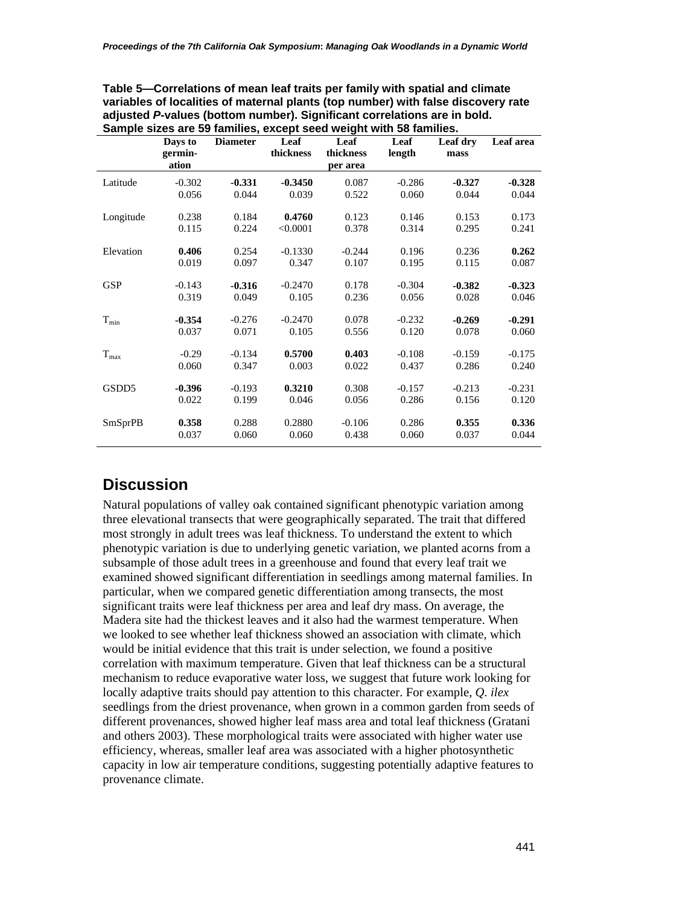| Sample sizes are 59 families, except seed weight with 58 families. |          |                 |           |           |          |          |           |  |
|--------------------------------------------------------------------|----------|-----------------|-----------|-----------|----------|----------|-----------|--|
|                                                                    | Days to  | <b>Diameter</b> | Leaf      | Leaf      | Leaf     | Leaf dry | Leaf area |  |
|                                                                    | germin-  |                 | thickness | thickness | length   | mass     |           |  |
|                                                                    | ation    |                 |           | per area  |          |          |           |  |
| Latitude                                                           | $-0.302$ | $-0.331$        | $-0.3450$ | 0.087     | $-0.286$ | $-0.327$ | $-0.328$  |  |
|                                                                    | 0.056    | 0.044           | 0.039     | 0.522     | 0.060    | 0.044    | 0.044     |  |
| Longitude                                                          | 0.238    | 0.184           | 0.4760    | 0.123     | 0.146    | 0.153    | 0.173     |  |
|                                                                    | 0.115    | 0.224           | < 0.0001  | 0.378     | 0.314    | 0.295    | 0.241     |  |
| Elevation                                                          | 0.406    | 0.254           | $-0.1330$ | $-0.244$  | 0.196    | 0.236    | 0.262     |  |
|                                                                    | 0.019    | 0.097           | 0.347     | 0.107     | 0.195    | 0.115    | 0.087     |  |
| <b>GSP</b>                                                         | $-0.143$ | $-0.316$        | $-0.2470$ | 0.178     | $-0.304$ | $-0.382$ | $-0.323$  |  |
|                                                                    | 0.319    | 0.049           | 0.105     | 0.236     | 0.056    | 0.028    | 0.046     |  |
| $T_{min}$                                                          | $-0.354$ | $-0.276$        | $-0.2470$ | 0.078     | $-0.232$ | $-0.269$ | $-0.291$  |  |
|                                                                    | 0.037    | 0.071           | 0.105     | 0.556     | 0.120    | 0.078    | 0.060     |  |
| $T_{max}$                                                          | $-0.29$  | $-0.134$        | 0.5700    | 0.403     | $-0.108$ | $-0.159$ | $-0.175$  |  |
|                                                                    | 0.060    | 0.347           | 0.003     | 0.022     | 0.437    | 0.286    | 0.240     |  |
| GSDD5                                                              | $-0.396$ | $-0.193$        | 0.3210    | 0.308     | $-0.157$ | $-0.213$ | $-0.231$  |  |
|                                                                    | 0.022    | 0.199           | 0.046     | 0.056     | 0.286    | 0.156    | 0.120     |  |
| <b>SmSprPB</b>                                                     | 0.358    | 0.288           | 0.2880    | $-0.106$  | 0.286    | 0.355    | 0.336     |  |
|                                                                    | 0.037    | 0.060           | 0.060     | 0.438     | 0.060    | 0.037    | 0.044     |  |

| Table 5—Correlations of mean leaf traits per family with spatial and climate      |
|-----------------------------------------------------------------------------------|
| variables of localities of maternal plants (top number) with false discovery rate |
| adjusted P-values (bottom number). Significant correlations are in bold.          |
| Sample sizes are 50 families, except seed wordt with 58 families                  |

## **Discussion**

Natural populations of valley oak contained significant phenotypic variation among three elevational transects that were geographically separated. The trait that differed most strongly in adult trees was leaf thickness. To understand the extent to which phenotypic variation is due to underlying genetic variation, we planted acorns from a subsample of those adult trees in a greenhouse and found that every leaf trait we examined showed significant differentiation in seedlings among maternal families. In particular, when we compared genetic differentiation among transects, the most significant traits were leaf thickness per area and leaf dry mass. On average, the Madera site had the thickest leaves and it also had the warmest temperature. When we looked to see whether leaf thickness showed an association with climate, which would be initial evidence that this trait is under selection, we found a positive correlation with maximum temperature. Given that leaf thickness can be a structural mechanism to reduce evaporative water loss, we suggest that future work looking for locally adaptive traits should pay attention to this character. For example, *Q. ilex*  seedlings from the driest provenance, when grown in a common garden from seeds of different provenances, showed higher leaf mass area and total leaf thickness (Gratani and others 2003). These morphological traits were associated with higher water use efficiency, whereas, smaller leaf area was associated with a higher photosynthetic capacity in low air temperature conditions, suggesting potentially adaptive features to provenance climate.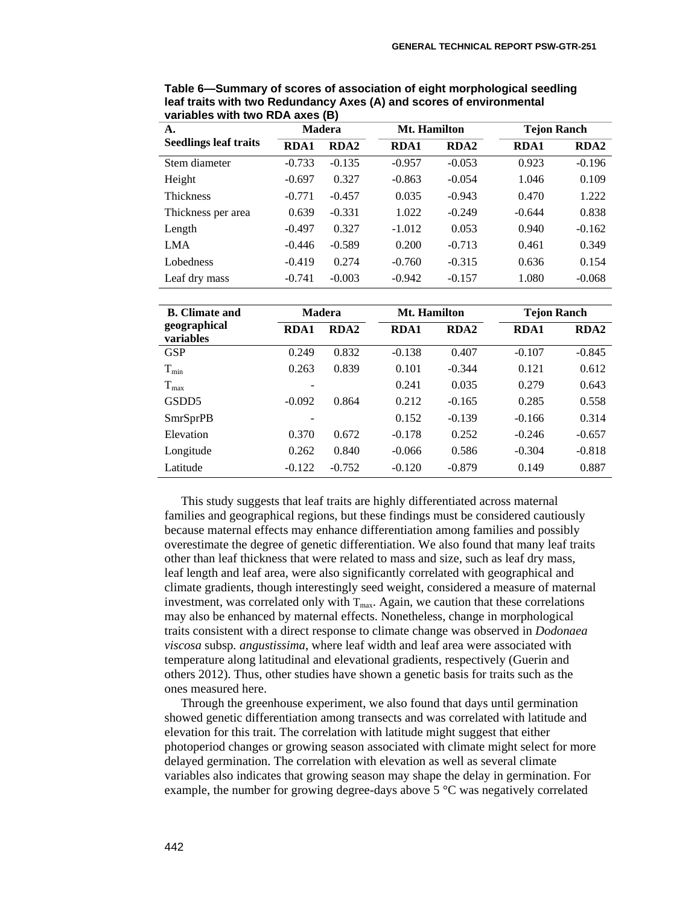| A.                           | Madera      |                  |             | <b>Mt. Hamilton</b> |             | <b>Tejon Ranch</b> |  |
|------------------------------|-------------|------------------|-------------|---------------------|-------------|--------------------|--|
| <b>Seedlings leaf traits</b> | <b>RDA1</b> | RDA <sub>2</sub> | <b>RDA1</b> | <b>RDA2</b>         | <b>RDA1</b> | <b>RDA2</b>        |  |
| Stem diameter                | $-0.733$    | $-0.135$         | $-0.957$    | $-0.053$            | 0.923       | $-0.196$           |  |
| Height                       | $-0.697$    | 0.327            | $-0.863$    | $-0.054$            | 1.046       | 0.109              |  |
| <b>Thickness</b>             | $-0.771$    | $-0.457$         | 0.035       | $-0.943$            | 0.470       | 1.222              |  |
| Thickness per area           | 0.639       | $-0.331$         | 1.022       | $-0.249$            | $-0.644$    | 0.838              |  |
| Length                       | $-0.497$    | 0.327            | $-1.012$    | 0.053               | 0.940       | $-0.162$           |  |
| <b>LMA</b>                   | $-0.446$    | $-0.589$         | 0.200       | $-0.713$            | 0.461       | 0.349              |  |
| Lobedness                    | $-0.419$    | 0.274            | $-0.760$    | $-0.315$            | 0.636       | 0.154              |  |
| Leaf dry mass                | $-0.741$    | $-0.003$         | $-0.942$    | $-0.157$            | 1.080       | $-0.068$           |  |

**Table 6—Summary of scores of association of eight morphological seedling leaf traits with two Redundancy Axes (A) and scores of environmental variables with two RDA axes (B)** 

| <b>B.</b> Climate and     | <b>Madera</b> |                  |             | <b>Mt. Hamilton</b> |             | <b>Tejon Ranch</b> |  |
|---------------------------|---------------|------------------|-------------|---------------------|-------------|--------------------|--|
| geographical<br>variables | <b>RDA1</b>   | RDA <sub>2</sub> | <b>RDA1</b> | <b>RDA2</b>         | <b>RDA1</b> | <b>RDA2</b>        |  |
| <b>GSP</b>                | 0.249         | 0.832            | $-0.138$    | 0.407               | $-0.107$    | $-0.845$           |  |
| $T_{min}$                 | 0.263         | 0.839            | 0.101       | $-0.344$            | 0.121       | 0.612              |  |
| $T_{max}$                 |               |                  | 0.241       | 0.035               | 0.279       | 0.643              |  |
| GSDD <sub>5</sub>         | $-0.092$      | 0.864            | 0.212       | $-0.165$            | 0.285       | 0.558              |  |
| <b>SmrSprPB</b>           |               |                  | 0.152       | $-0.139$            | $-0.166$    | 0.314              |  |
| Elevation                 | 0.370         | 0.672            | $-0.178$    | 0.252               | $-0.246$    | $-0.657$           |  |
| Longitude                 | 0.262         | 0.840            | $-0.066$    | 0.586               | $-0.304$    | $-0.818$           |  |
| Latitude                  | $-0.122$      | $-0.752$         | $-0.120$    | $-0.879$            | 0.149       | 0.887              |  |

This study suggests that leaf traits are highly differentiated across maternal families and geographical regions, but these findings must be considered cautiously because maternal effects may enhance differentiation among families and possibly overestimate the degree of genetic differentiation. We also found that many leaf traits other than leaf thickness that were related to mass and size, such as leaf dry mass, leaf length and leaf area, were also significantly correlated with geographical and climate gradients, though interestingly seed weight, considered a measure of maternal investment, was correlated only with  $T_{\text{max}}$ . Again, we caution that these correlations may also be enhanced by maternal effects. Nonetheless, change in morphological traits consistent with a direct response to climate change was observed in *Dodonaea viscosa* subsp*. angustissima*, where leaf width and leaf area were associated with temperature along latitudinal and elevational gradients, respectively (Guerin and others 2012). Thus, other studies have shown a genetic basis for traits such as the ones measured here.

Through the greenhouse experiment, we also found that days until germination showed genetic differentiation among transects and was correlated with latitude and elevation for this trait. The correlation with latitude might suggest that either photoperiod changes or growing season associated with climate might select for more delayed germination. The correlation with elevation as well as several climate variables also indicates that growing season may shape the delay in germination. For example, the number for growing degree-days above 5 °C was negatively correlated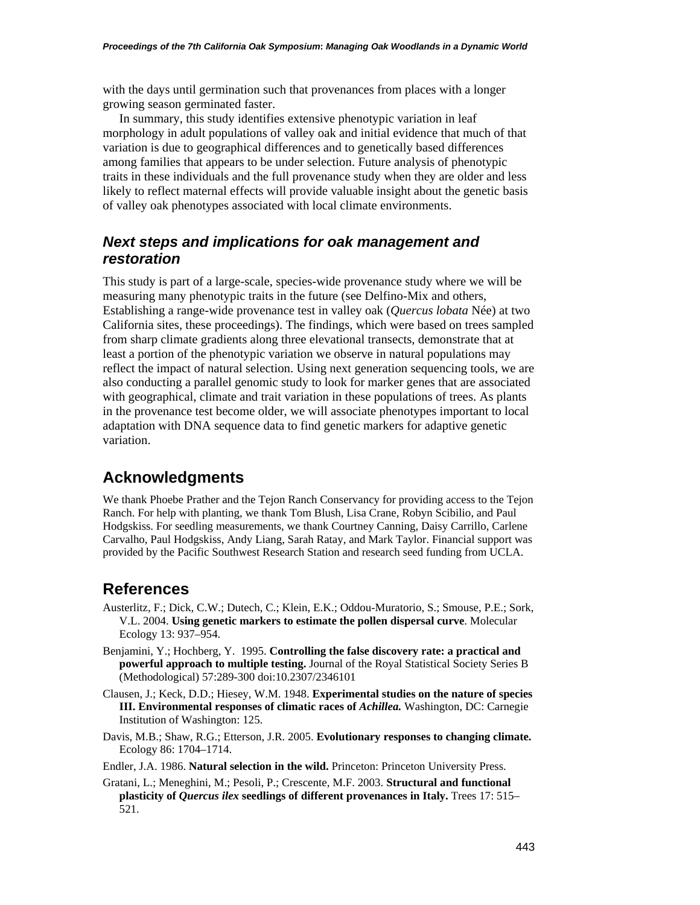with the days until germination such that provenances from places with a longer growing season germinated faster.

In summary, this study identifies extensive phenotypic variation in leaf morphology in adult populations of valley oak and initial evidence that much of that variation is due to geographical differences and to genetically based differences among families that appears to be under selection. Future analysis of phenotypic traits in these individuals and the full provenance study when they are older and less likely to reflect maternal effects will provide valuable insight about the genetic basis of valley oak phenotypes associated with local climate environments.

#### *Next steps and implications for oak management and restoration*

This study is part of a large-scale, species-wide provenance study where we will be measuring many phenotypic traits in the future (see Delfino-Mix and others, Establishing a range-wide provenance test in valley oak (*Quercus lobata* Née) at two California sites, these proceedings). The findings, which were based on trees sampled from sharp climate gradients along three elevational transects, demonstrate that at least a portion of the phenotypic variation we observe in natural populations may reflect the impact of natural selection. Using next generation sequencing tools, we are also conducting a parallel genomic study to look for marker genes that are associated with geographical, climate and trait variation in these populations of trees. As plants in the provenance test become older, we will associate phenotypes important to local adaptation with DNA sequence data to find genetic markers for adaptive genetic variation.

## **Acknowledgments**

 Ranch. For help with planting, we thank Tom Blush, Lisa Crane, Robyn Scibilio, and Paul We thank Phoebe Prather and the Tejon Ranch Conservancy for providing access to the Tejon Hodgskiss. For seedling measurements, we thank Courtney Canning, Daisy Carrillo, Carlene Carvalho, Paul Hodgskiss, Andy Liang, Sarah Ratay, and Mark Taylor. Financial support was provided by the Pacific Southwest Research Station and research seed funding from UCLA.

#### **References**

- Austerlitz, F.; Dick, C.W.; Dutech, C.; Klein, E.K.; Oddou-Muratorio, S.; Smouse, P.E.; Sork, V.L. 2004. **Using genetic markers to estimate the pollen dispersal curve**. Molecular Ecology 13: 937–954.
- Benjamini, Y.; Hochberg, Y. 1995. **Controlling the false discovery rate: a practical and powerful approach to multiple testing.** Journal of the Royal Statistical Society Series B (Methodological) 57:289-300 doi:10.2307/2346101
- Clausen, J.; Keck, D.D.; Hiesey, W.M. 1948. **Experimental studies on the nature of species III. Environmental responses of climatic races of** *Achillea.* Washington, DC: Carnegie Institution of Washington: 125.
- Davis, M.B.; Shaw, R.G.; Etterson, J.R. 2005. **Evolutionary responses to changing climate.**  Ecology 86: 1704–1714.
- Endler, J.A. 1986. **Natural selection in the wild.** Princeton: Princeton University Press.
- Gratani, L.; Meneghini, M.; Pesoli, P.; Crescente, M.F. 2003. **Structural and functional plasticity of** *Quercus ilex* **seedlings of different provenances in Italy.** Trees 17: 515– 521.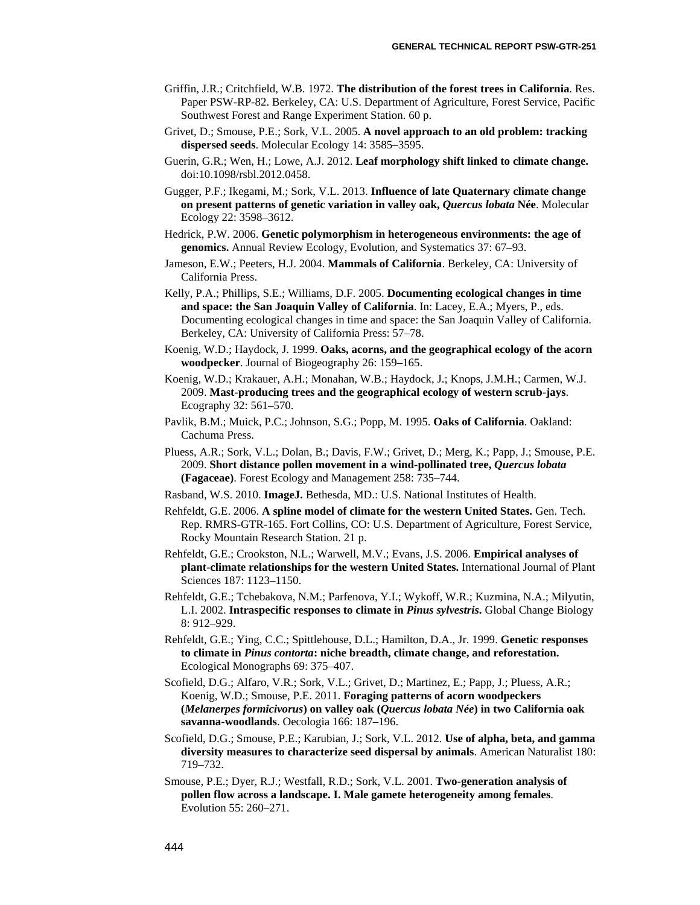- Southwest Forest and Range Experiment Station. 60 p. Griffin, J.R.; Critchfield, W.B. 1972. **The distribution of the forest trees in California**. Res. Paper PSW-RP-82. Berkeley, CA: U.S. Department of Agriculture, Forest Service, Pacific
- Grivet, D.; Smouse, P.E.; Sork, V.L. 2005. **A novel approach to an old problem: tracking dispersed seeds**. Molecular Ecology 14: 3585–3595.
- Guerin, G.R.; Wen, H.; Lowe, A.J. 2012. **Leaf morphology shift linked to climate change.**  doi:10.1098/rsbl.2012.0458.
- Gugger, P.F.; Ikegami, M.; Sork, V.L. 2013. **Influence of late Quaternary climate change on present patterns of genetic variation in valley oak,** *Quercus lobata* **Née**. Molecular Ecology 22: 3598–3612.
- Hedrick, P.W. 2006. **Genetic polymorphism in heterogeneous environments: the age of genomics.** Annual Review Ecology, Evolution, and Systematics 37: 67–93.
- Jameson, E.W.; Peeters, H.J. 2004. **Mammals of California**. Berkeley, CA: University of California Press.
- Kelly, P.A.; Phillips, S.E.; Williams, D.F. 2005. **Documenting ecological changes in time and space: the San Joaquin Valley of California**. In: Lacey, E.A.; Myers, P., eds. Documenting ecological changes in time and space: the San Joaquin Valley of California. Berkeley, CA: University of California Press: 57–78.
- Koenig, W.D.; Haydock, J. 1999. **Oaks, acorns, and the geographical ecology of the acorn woodpecker**. Journal of Biogeography 26: 159–165.
- Koenig, W.D.; Krakauer, A.H.; Monahan, W.B.; Haydock, J.; Knops, J.M.H.; Carmen, W.J. 2009. **Mast-producing trees and the geographical ecology of western scrub-jays**. Ecography 32: 561–570.
- Pavlik, B.M.; Muick, P.C.; Johnson, S.G.; Popp, M. 1995. **Oaks of California**. Oakland: Cachuma Press.
- Pluess, A.R.; Sork, V.L.; Dolan, B.; Davis, F.W.; Grivet, D.; Merg, K.; Papp, J.; Smouse, P.E. 2009. **Short distance pollen movement in a wind-pollinated tree,** *Quercus lobata*  **(Fagaceae)**. Forest Ecology and Management 258: 735–744.
- Rasband, W.S. 2010. **ImageJ.** Bethesda, MD.: U.S. National Institutes of Health.
- Rehfeldt, G.E. 2006. **A spline model of climate for the western United States.** Gen. Tech. Rep. RMRS-GTR-165. Fort Collins, CO: U.S. Department of Agriculture, Forest Service, Rocky Mountain Research Station. 21 p.
- Rehfeldt, G.E.; Crookston, N.L.; Warwell, M.V.; Evans, J.S. 2006. **Empirical analyses of plant-climate relationships for the western United States.** International Journal of Plant Sciences 187: 1123–1150.
- Rehfeldt, G.E.; Tchebakova, N.M.; Parfenova, Y.I.; Wykoff, W.R.; Kuzmina, N.A.; Milyutin, L.I. 2002. **Intraspecific responses to climate in** *Pinus sylvestris***.** Global Change Biology 8: 912–929.
- Rehfeldt, G.E.; Ying, C.C.; Spittlehouse, D.L.; Hamilton, D.A., Jr. 1999. **Genetic responses to climate in** *Pinus contorta***: niche breadth, climate change, and reforestation.**  Ecological Monographs 69: 375–407.
- Scofield, D.G.; Alfaro, V.R.; Sork, V.L.; Grivet, D.; Martinez, E.; Papp, J.; Pluess, A.R.; Koenig, W.D.; Smouse, P.E. 2011. **Foraging patterns of acorn woodpeckers (***Melanerpes formicivorus***) on valley oak (***Quercus lobata Née***) in two California oak savanna-woodlands**. Oecologia 166: 187–196.
- Scofield, D.G.; Smouse, P.E.; Karubian, J.; Sork, V.L. 2012. **Use of alpha, beta, and gamma diversity measures to characterize seed dispersal by animals**. American Naturalist 180: 719–732.
- Smouse, P.E.; Dyer, R.J.; Westfall, R.D.; Sork, V.L. 2001. **Two-generation analysis of pollen flow across a landscape. I. Male gamete heterogeneity among females**. Evolution 55: 260–271.